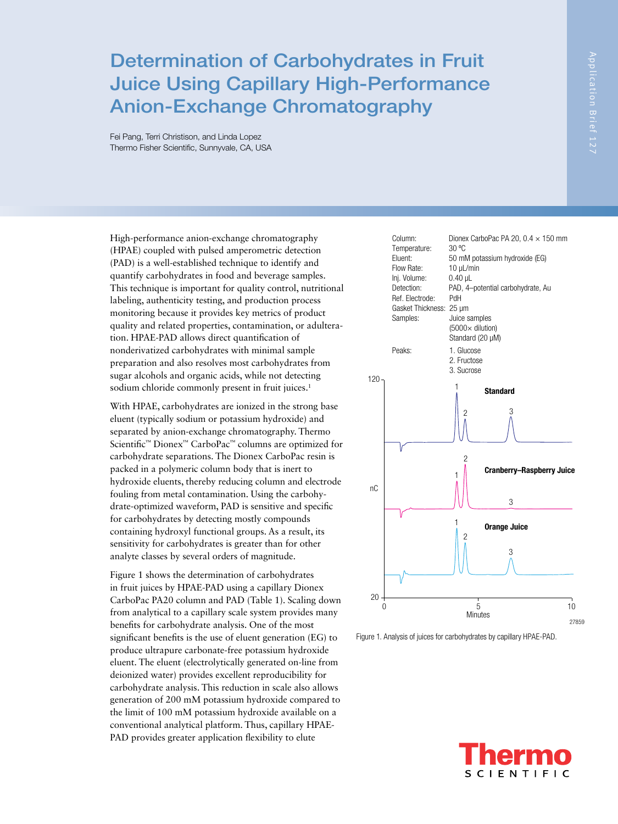Fei Pang, Terri Christison, and Linda Lopez Thermo Fisher Scientific, Sunnyvale, CA, USA

High-performance anion-exchange chromatography (HPAE) coupled with pulsed amperometric detection (PAD) is a well-established technique to identify and quantify carbohydrates in food and beverage samples. This technique is important for quality control, nutritional labeling, authenticity testing, and production process monitoring because it provides key metrics of product quality and related properties, contamination, or adulteration. HPAE-PAD allows direct quantification of nonderivatized carbohydrates with minimal sample preparation and also resolves most carbohydrates from sugar alcohols and organic acids, while not detecting sodium chloride commonly present in fruit juices.<sup>1</sup>

With HPAE, carbohydrates are ionized in the strong base eluent (typically sodium or potassium hydroxide) and separated by anion-exchange chromatography. Thermo Scientific™ Dionex™ CarboPac™ columns are optimized for carbohydrate separations. The Dionex CarboPac resin is packed in a polymeric column body that is inert to hydroxide eluents, thereby reducing column and electrode fouling from metal contamination. Using the carbohydrate-optimized waveform, PAD is sensitive and specific for carbohydrates by detecting mostly compounds containing hydroxyl functional groups. As a result, its sensitivity for carbohydrates is greater than for other analyte classes by several orders of magnitude.

Figure 1 shows the determination of carbohydrates in fruit juices by HPAE-PAD using a capillary Dionex CarboPac PA20 column and PAD (Table 1). Scaling down from analytical to a capillary scale system provides many benefits for carbohydrate analysis. One of the most significant benefits is the use of eluent generation (EG) to produce ultrapure carbonate-free potassium hydroxide eluent. The eluent (electrolytically generated on-line from deionized water) provides excellent reproducibility for carbohydrate analysis. This reduction in scale also allows generation of 200 mM potassium hydroxide compared to the limit of 100 mM potassium hydroxide available on a conventional analytical platform. Thus, capillary HPAE-PAD provides greater application flexibility to elute